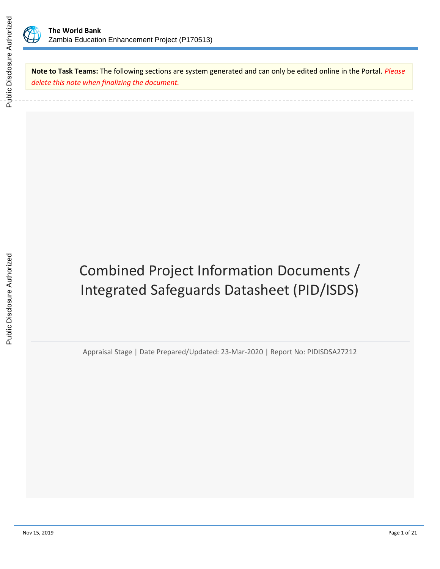

**Note to Task Teams:** The following sections are system generated and can only be edited online in the Portal. *Please delete this note when finalizing the document.*

# Combined Project Information Documents / Integrated Safeguards Datasheet (PID/ISDS)

Appraisal Stage | Date Prepared/Updated: 23-Mar-2020 | Report No: PIDISDSA27212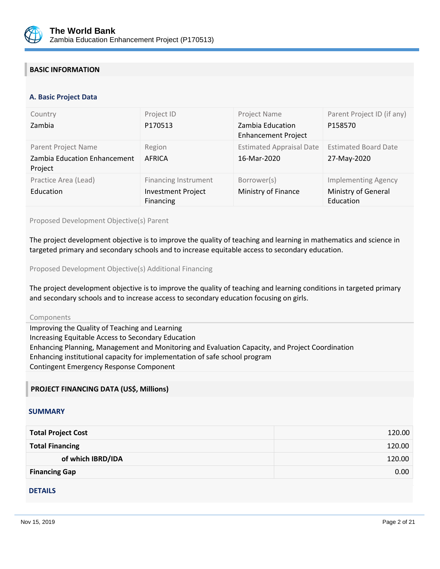

## **BASIC INFORMATION**

#### **OPS\_TABLE\_BASIC\_DATA A. Basic Project Data**

| Country<br>Zambia                                              | Project ID<br>P170513                                                        | Project Name<br>Zambia Education<br><b>Enhancement Project</b> | Parent Project ID (if any)<br>P158570                          |
|----------------------------------------------------------------|------------------------------------------------------------------------------|----------------------------------------------------------------|----------------------------------------------------------------|
| Parent Project Name<br>Zambia Education Enhancement<br>Project | Region<br><b>AFRICA</b>                                                      | <b>Estimated Appraisal Date</b><br>16-Mar-2020                 | <b>Estimated Board Date</b><br>27-May-2020                     |
| Practice Area (Lead)<br>Education                              | <b>Financing Instrument</b><br><b>Investment Project</b><br><b>Financing</b> | Borrower(s)<br>Ministry of Finance                             | <b>Implementing Agency</b><br>Ministry of General<br>Education |

#### Proposed Development Objective(s) Parent

The project development objective is to improve the quality of teaching and learning in mathematics and science in targeted primary and secondary schools and to increase equitable access to secondary education.

Proposed Development Objective(s) Additional Financing

The project development objective is to improve the quality of teaching and learning conditions in targeted primary and secondary schools and to increase access to secondary education focusing on girls.

#### Components

Improving the Quality of Teaching and Learning Increasing Equitable Access to Secondary Education Enhancing Planning, Management and Monitoring and Evaluation Capacity, and Project Coordination Enhancing institutional capacity for implementation of safe school program Contingent Emergency Response Component

#### **PROJECT FINANCING DATA (US\$, Millions)**

#### **SUMMARY**

| <b>Total Project Cost</b> | 120.00 |
|---------------------------|--------|
| <b>Total Financing</b>    | 120.00 |
| of which IBRD/IDA         | 120.00 |
| <b>Financing Gap</b>      | 0.00   |

#### DETAILS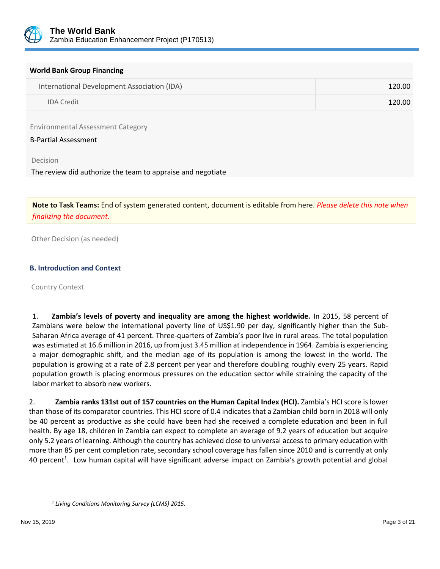

|  |  |  | <b>World Bank Group Financing</b> |
|--|--|--|-----------------------------------|
|--|--|--|-----------------------------------|

| International Development Association (IDA) | 120.00 |
|---------------------------------------------|--------|
| <b>IDA Credit</b>                           | 120.00 |

Environmental Assessment Category

#### B-Partial Assessment

Decision

The review did authorize the team to appraise and negotiate

**Note to Task Teams:** End of system generated content, document is editable from here. *Please delete this note when finalizing the document.*

Other Decision (as needed)

#### **B. Introduction and Context**

Country Context

1. **Zambia's levels of poverty and inequality are among the highest worldwide.** In 2015, 58 percent of Zambians were below the international poverty line of US\$1.90 per day, significantly higher than the Sub-Saharan Africa average of 41 percent. Three-quarters of Zambia's poor live in rural areas. The total population was estimated at 16.6 million in 2016, up from just 3.45 million at independence in 1964. Zambia is experiencing a major demographic shift, and the median age of its population is among the lowest in the world. The population is growing at a rate of 2.8 percent per year and therefore doubling roughly every 25 years. Rapid population growth is placing enormous pressures on the education sector while straining the capacity of the labor market to absorb new workers.

2. **Zambia ranks 131st out of 157 countries on the Human Capital Index (HCI).** Zambia's HCI score is lower than those of its comparator countries. This HCI score of 0.4 indicates that a Zambian child born in 2018 will only be 40 percent as productive as she could have been had she received a complete education and been in full health. By age 18, children in Zambia can expect to complete an average of 9.2 years of education but acquire only 5.2 years of learning. Although the country has achieved close to universal access to primary education with more than 85 per cent completion rate, secondary school coverage has fallen since 2010 and is currently at only 40 percent<sup>1</sup>. Low human capital will have significant adverse impact on Zambia's growth potential and global

l

*<sup>1</sup> Living Conditions Monitoring Survey (LCMS) 2015.*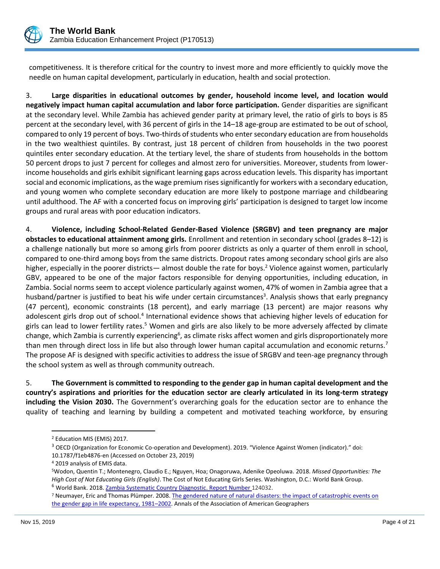

competitiveness. It is therefore critical for the country to invest more and more efficiently to quickly move the needle on human capital development, particularly in education, health and social protection.

3. **Large disparities in educational outcomes by gender, household income level, and location would negatively impact human capital accumulation and labor force participation.** Gender disparities are significant at the secondary level. While Zambia has achieved gender parity at primary level, the ratio of girls to boys is 85 percent at the secondary level, with 36 percent of girls in the 14–18 age-group are estimated to be out of school, compared to only 19 percent of boys. Two-thirds of students who enter secondary education are from households in the two wealthiest quintiles. By contrast, just 18 percent of children from households in the two poorest quintiles enter secondary education. At the tertiary level, the share of students from households in the bottom 50 percent drops to just 7 percent for colleges and almost zero for universities. Moreover, students from lowerincome households and girls exhibit significant learning gaps across education levels. This disparity has important social and economic implications, as the wage premium rises significantly for workers with a secondary education, and young women who complete secondary education are more likely to postpone marriage and childbearing until adulthood. The AF with a concerted focus on improving girls' participation is designed to target low income groups and rural areas with poor education indicators.

4. **Violence, including School-Related Gender-Based Violence (SRGBV) and teen pregnancy are major obstacles to educational attainment among girls.** Enrollment and retention in secondary school (grades 8–12) is a challenge nationally but more so among girls from poorer districts as only a quarter of them enroll in school, compared to one-third among boys from the same districts. Dropout rates among secondary school girls are also higher, especially in the poorer districts— almost double the rate for boys.<sup>2</sup> Violence against women, particularly GBV, appeared to be one of the major factors responsible for denying opportunities, including education, in Zambia. Social norms seem to accept violence particularly against women, 47% of women in Zambia agree that a husband/partner is justified to beat his wife under certain circumstances<sup>3</sup>. Analysis shows that early pregnancy (47 percent), economic constraints (18 percent), and early marriage (13 percent) are major reasons why adolescent girls drop out of school.<sup>4</sup> International evidence shows that achieving higher levels of education for girls can lead to lower fertility rates.<sup>5</sup> Women and girls are also likely to be more adversely affected by climate change, which Zambia is currently experiencing<sup>6</sup>, as climate risks affect women and girls disproportionately more than men through direct loss in life but also through lower human capital accumulation and economic returns.<sup>7</sup> The propose AF is designed with specific activities to address the issue of SRGBV and teen-age pregnancy through the school system as well as through community outreach.

5. **The Government is committed to responding to the gender gap in human capital development and the country's aspirations and priorities for the education sector are clearly articulated in its long-term strategy including the Vision 2030.** The Government's overarching goals for the education sector are to enhance the quality of teaching and learning by building a competent and motivated teaching workforce, by ensuring

l

<sup>2</sup> Education MIS (EMIS) 2017.

<sup>3</sup> OECD (Organization for Economic Co-operation and Development). 2019. "Violence Against Women (indicator)." doi: 10.1787/f1eb4876-en (Accessed on October 23, 2019)

<sup>4</sup> 2019 analysis of EMIS data.

<sup>5</sup>Wodon, Quentin T.; Montenegro, Claudio E.; Nguyen, Hoa; Onagoruwa, Adenike Opeoluwa. 2018. *Missed Opportunities: The High Cost of Not Educating Girls (English)*. The Cost of Not Educating Girls Series. Washington, D.C.: World Bank Group. <sup>6</sup> World Bank. 2018[. Zambia Systematic Country Diagnostic.](http://documents.worldbank.org/curated/en/290011522954283481/pdf/Zambia-SCD-March-29-Final-04022018.pdf) Report Number 124032.

<sup>&</sup>lt;sup>7</sup> Neumayer, Eric and Thomas Plümper. 2008. The gendered nature of natural disasters: the impact of catastrophic events on [the gender gap in life expectancy, 1981](http://eprints.lse.ac.uk/3040/1/Gendered_nature_of_natural_disasters_%28LSERO%29.pdf)–2002. Annals of the Association of American Geographers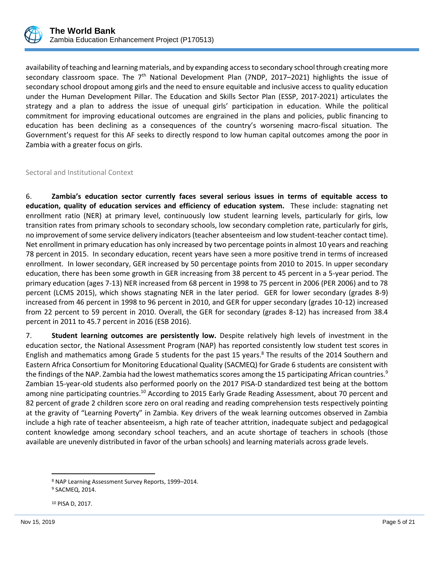

availability of teaching and learning materials, and by expanding access to secondary school through creating more secondary classroom space. The  $7<sup>th</sup>$  National Development Plan (7NDP, 2017–2021) highlights the issue of secondary school dropout among girls and the need to ensure equitable and inclusive access to quality education under the Human Development Pillar. The Education and Skills Sector Plan (ESSP, 2017-2021) articulates the strategy and a plan to address the issue of unequal girls' participation in education. While the political commitment for improving educational outcomes are engrained in the plans and policies, public financing to education has been declining as a consequences of the country's worsening macro-fiscal situation. The Government's request for this AF seeks to directly respond to low human capital outcomes among the poor in Zambia with a greater focus on girls.

Sectoral and Institutional Context

6. **Zambia's education sector currently faces several serious issues in terms of equitable access to education, quality of education services and efficiency of education system.** These include: stagnating net enrollment ratio (NER) at primary level, continuously low student learning levels, particularly for girls, low transition rates from primary schools to secondary schools, low secondary completion rate, particularly for girls, no improvement of some service delivery indicators (teacher absenteeism and low student-teacher contact time). Net enrollment in primary education has only increased by two percentage points in almost 10 years and reaching 78 percent in 2015. In secondary education, recent years have seen a more positive trend in terms of increased enrollment. In lower secondary, GER increased by 50 percentage points from 2010 to 2015. In upper secondary education, there has been some growth in GER increasing from 38 percent to 45 percent in a 5-year period. The primary education (ages 7-13) NER increased from 68 percent in 1998 to 75 percent in 2006 (PER 2006) and to 78 percent (LCMS 2015), which shows stagnating NER in the later period. GER for lower secondary (grades 8-9) increased from 46 percent in 1998 to 96 percent in 2010, and GER for upper secondary (grades 10-12) increased from 22 percent to 59 percent in 2010. Overall, the GER for secondary (grades 8-12) has increased from 38.4 percent in 2011 to 45.7 percent in 2016 (ESB 2016).

7. **Student learning outcomes are persistently low.** Despite relatively high levels of investment in the education sector, the National Assessment Program (NAP) has reported consistently low student test scores in English and mathematics among Grade 5 students for the past 15 years.<sup>8</sup> The results of the 2014 Southern and Eastern Africa Consortium for Monitoring Educational Quality (SACMEQ) for Grade 6 students are consistent with the findings of the NAP. Zambia had the lowest mathematics scores among the 15 participating African countries.<sup>9</sup> Zambian 15-year-old students also performed poorly on the 2017 PISA-D standardized test being at the bottom among nine participating countries.<sup>10</sup> According to 2015 Early Grade Reading Assessment, about 70 percent and 82 percent of grade 2 children score zero on oral reading and reading comprehension tests respectively pointing at the gravity of "Learning Poverty" in Zambia. Key drivers of the weak learning outcomes observed in Zambia include a high rate of teacher absenteeism, a high rate of teacher attrition, inadequate subject and pedagogical content knowledge among secondary school teachers, and an acute shortage of teachers in schools (those available are unevenly distributed in favor of the urban schools) and learning materials across grade levels.

 $\overline{a}$ <sup>8</sup> NAP Learning Assessment Survey Reports, 1999–2014. <sup>9</sup> SACMEQ, 2014.

<sup>10</sup> PISA D, 2017.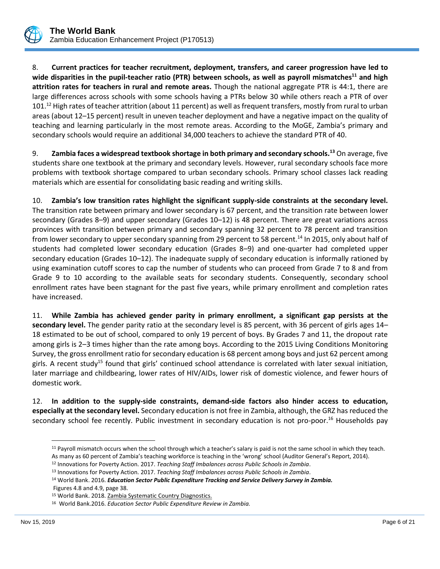

8. **Current practices for teacher recruitment, deployment, transfers, and career progression have led to wide disparities in the pupil-teacher ratio (PTR) between schools, as well as payroll mismatches<sup>11</sup> and high attrition rates for teachers in rural and remote areas.** Though the national aggregate PTR is 44:1, there are large differences across schools with some schools having a PTRs below 30 while others reach a PTR of over 101.<sup>12</sup> High rates of teacher attrition (about 11 percent) as well as frequent transfers, mostly from rural to urban areas (about 12–15 percent) result in uneven teacher deployment and have a negative impact on the quality of teaching and learning particularly in the most remote areas. According to the MoGE, Zambia's primary and secondary schools would require an additional 34,000 teachers to achieve the standard PTR of 40.

9. **Zambia faces a widespread textbook shortage in both primary and secondary schools.<sup>13</sup>** On average, five students share one textbook at the primary and secondary levels. However, rural secondary schools face more problems with textbook shortage compared to urban secondary schools. Primary school classes lack reading materials which are essential for consolidating basic reading and writing skills.

10. **Zambia's low transition rates highlight the significant supply-side constraints at the secondary level.**  The transition rate between primary and lower secondary is 67 percent, and the transition rate between lower secondary (Grades 8–9) and upper secondary (Grades 10–12) is 48 percent. There are great variations across provinces with transition between primary and secondary spanning 32 percent to 78 percent and transition from lower secondary to upper secondary spanning from 29 percent to 58 percent.<sup>14</sup> In 2015, only about half of students had completed lower secondary education (Grades 8–9) and one-quarter had completed upper secondary education (Grades 10–12). The inadequate supply of secondary education is informally rationed by using examination cutoff scores to cap the number of students who can proceed from Grade 7 to 8 and from Grade 9 to 10 according to the available seats for secondary students. Consequently, secondary school enrollment rates have been stagnant for the past five years, while primary enrollment and completion rates have increased.

11. **While Zambia has achieved gender parity in primary enrollment, a significant gap persists at the secondary level.** The gender parity ratio at the secondary level is 85 percent, with 36 percent of girls ages 14– 18 estimated to be out of school, compared to only 19 percent of boys. By Grades 7 and 11, the dropout rate among girls is 2–3 times higher than the rate among boys. According to the 2015 Living Conditions Monitoring Survey, the gross enrollment ratio for secondary education is 68 percent among boys and just 62 percent among girls. A recent study<sup>15</sup> found that girls' continued school attendance is correlated with later sexual initiation, later marriage and childbearing, lower rates of HIV/AIDs, lower risk of domestic violence, and fewer hours of domestic work.

12. **In addition to the supply-side constraints, demand-side factors also hinder access to education, especially at the secondary level.** Secondary education is not free in Zambia, although, the GRZ has reduced the secondary school fee recently. Public investment in secondary education is not pro-poor.<sup>16</sup> Households pay

 $\overline{a}$ 

<sup>11</sup> Payroll mismatch occurs when the school through which a teacher's salary is paid is not the same school in which they teach. As many as 60 percent of Zambia's teaching workforce is teaching in the 'wrong' school (Auditor General's Report, 2014).

<sup>12</sup> Innovations for Poverty Action. 2017. *Teaching Staff Imbalances across Public Schools in Zambia*.

<sup>13</sup> Innovations for Poverty Action. 2017. *Teaching Staff Imbalances across Public Schools in Zambia*.

<sup>14</sup> World Bank. 2016. *Education Sector Public Expenditure Tracking and Service Delivery Survey in Zambia.* Figures 4.8 and 4.9, page 38.

<sup>15</sup> World Bank. 2018. Zambia Systematic Country Diagnostics.

<sup>16</sup> World Bank.2016. *Education Sector Public Expenditure Review in Zambia.*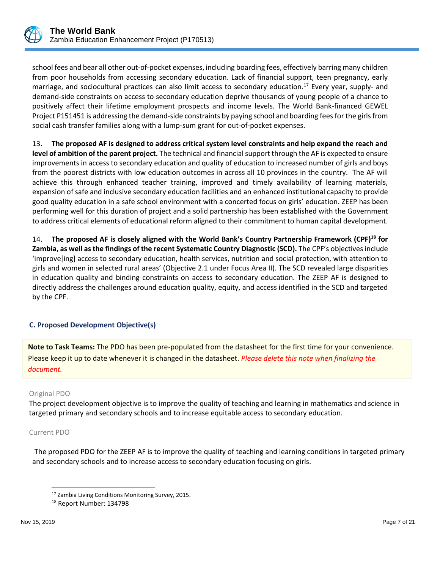

school fees and bear all other out-of-pocket expenses, including boarding fees, effectively barring many children from poor households from accessing secondary education. Lack of financial support, teen pregnancy, early marriage, and sociocultural practices can also limit access to secondary education.<sup>17</sup> Every year, supply- and demand-side constraints on access to secondary education deprive thousands of young people of a chance to positively affect their lifetime employment prospects and income levels. The World Bank-financed GEWEL Project P151451 is addressing the demand-side constraints by paying school and boarding fees for the girls from social cash transfer families along with a lump-sum grant for out-of-pocket expenses.

13. **The proposed AF is designed to address critical system level constraints and help expand the reach and level of ambition of the parent project.** The technical and financial support through the AF is expected to ensure improvements in access to secondary education and quality of education to increased number of girls and boys from the poorest districts with low education outcomes in across all 10 provinces in the country. The AF will achieve this through enhanced teacher training, improved and timely availability of learning materials, expansion of safe and inclusive secondary education facilities and an enhanced institutional capacity to provide good quality education in a safe school environment with a concerted focus on girls' education. ZEEP has been performing well for this duration of project and a solid partnership has been established with the Government to address critical elements of educational reform aligned to their commitment to human capital development.

14. **The proposed AF is closely aligned with the World Bank's Country Partnership Framework (CPF)<sup>18</sup> for Zambia, as well as the findings of the recent Systematic Country Diagnostic (SCD).** The CPF's objectives include 'improve[ing] access to secondary education, health services, nutrition and social protection, with attention to girls and women in selected rural areas' (Objective 2.1 under Focus Area II). The SCD revealed large disparities in education quality and binding constraints on access to secondary education. The ZEEP AF is designed to directly address the challenges around education quality, equity, and access identified in the SCD and targeted by the CPF.

#### **C. Proposed Development Objective(s)**

**Note to Task Teams:** The PDO has been pre-populated from the datasheet for the first time for your convenience. Please keep it up to date whenever it is changed in the datasheet. *Please delete this note when finalizing the document.*

#### Original PDO

The project development objective is to improve the quality of teaching and learning in mathematics and science in targeted primary and secondary schools and to increase equitable access to secondary education.

#### Current PDO

 $\overline{\phantom{a}}$ 

The proposed PDO for the ZEEP AF is to improve the quality of teaching and learning conditions in targeted primary and secondary schools and to increase access to secondary education focusing on girls.

<sup>17</sup> Zambia Living Conditions Monitoring Survey, 2015.

<sup>18</sup> Report Number: 134798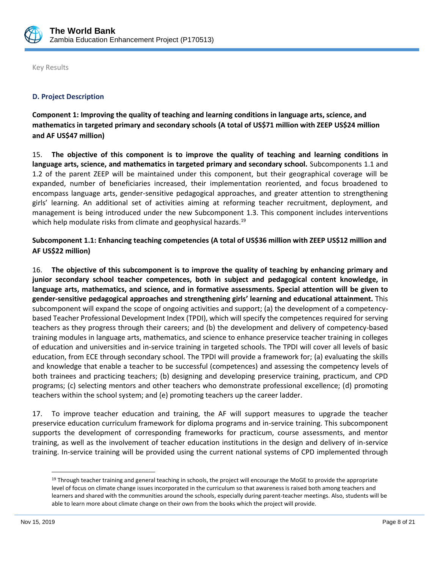

Key Results

## **D. Project Description**

**Component 1: Improving the quality of teaching and learning conditions in language arts, science, and mathematics in targeted primary and secondary schools (A total of US\$71 million with ZEEP US\$24 million and AF US\$47 million)**

15. **The objective of this component is to improve the quality of teaching and learning conditions in language arts, science, and mathematics in targeted primary and secondary school.** Subcomponents 1.1 and 1.2 of the parent ZEEP will be maintained under this component, but their geographical coverage will be expanded, number of beneficiaries increased, their implementation reoriented, and focus broadened to encompass language arts, gender-sensitive pedagogical approaches, and greater attention to strengthening girls' learning. An additional set of activities aiming at reforming teacher recruitment, deployment, and management is being introduced under the new Subcomponent 1.3. This component includes interventions which help modulate risks from climate and geophysical hazards.<sup>19</sup>

## **Subcomponent 1.1: Enhancing teaching competencies (A total of US\$36 million with ZEEP US\$12 million and AF US\$22 million)**

16. **The objective of this subcomponent is to improve the quality of teaching by enhancing primary and junior secondary school teacher competences, both in subject and pedagogical content knowledge, in language arts, mathematics, and science, and in formative assessments. Special attention will be given to gender-sensitive pedagogical approaches and strengthening girls' learning and educational attainment.** This subcomponent will expand the scope of ongoing activities and support; (a) the development of a competencybased Teacher Professional Development Index (TPDI), which will specify the competences required for serving teachers as they progress through their careers; and (b) the development and delivery of competency-based training modules in language arts, mathematics, and science to enhance preservice teacher training in colleges of education and universities and in-service training in targeted schools. The TPDI will cover all levels of basic education, from ECE through secondary school. The TPDI will provide a framework for; (a) evaluating the skills and knowledge that enable a teacher to be successful (competences) and assessing the competency levels of both trainees and practicing teachers; (b) designing and developing preservice training, practicum, and CPD programs; (c) selecting mentors and other teachers who demonstrate professional excellence; (d) promoting teachers within the school system; and (e) promoting teachers up the career ladder.

17. To improve teacher education and training, the AF will support measures to upgrade the teacher preservice education curriculum framework for diploma programs and in-service training. This subcomponent supports the development of corresponding frameworks for practicum, course assessments, and mentor training, as well as the involvement of teacher education institutions in the design and delivery of in-service training. In-service training will be provided using the current national systems of CPD implemented through

l

<sup>&</sup>lt;sup>19</sup> Through teacher training and general teaching in schools, the project will encourage the MoGE to provide the appropriate level of focus on climate change issues incorporated in the curriculum so that awareness is raised both among teachers and learners and shared with the communities around the schools, especially during parent-teacher meetings. Also, students will be able to learn more about climate change on their own from the books which the project will provide.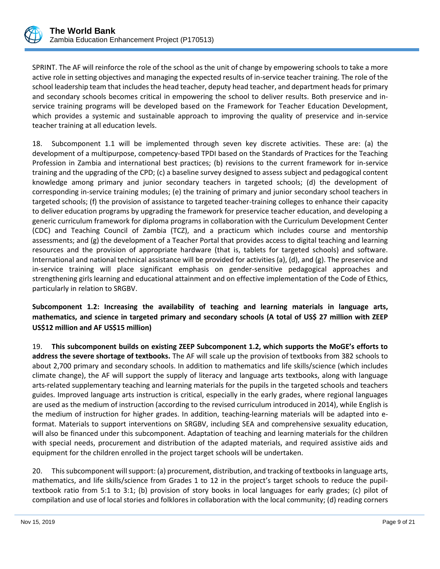

SPRINT. The AF will reinforce the role of the school as the unit of change by empowering schools to take a more active role in setting objectives and managing the expected results of in-service teacher training. The role of the school leadership team that includes the head teacher, deputy head teacher, and department heads for primary and secondary schools becomes critical in empowering the school to deliver results. Both preservice and inservice training programs will be developed based on the Framework for Teacher Education Development, which provides a systemic and sustainable approach to improving the quality of preservice and in-service teacher training at all education levels.

18. Subcomponent 1.1 will be implemented through seven key discrete activities. These are: (a) the development of a multipurpose, competency-based TPDI based on the Standards of Practices for the Teaching Profession in Zambia and international best practices; (b) revisions to the current framework for in-service training and the upgrading of the CPD; (c) a baseline survey designed to assess subject and pedagogical content knowledge among primary and junior secondary teachers in targeted schools; (d) the development of corresponding in-service training modules; (e) the training of primary and junior secondary school teachers in targeted schools; (f) the provision of assistance to targeted teacher-training colleges to enhance their capacity to deliver education programs by upgrading the framework for preservice teacher education, and developing a generic curriculum framework for diploma programs in collaboration with the Curriculum Development Center (CDC) and Teaching Council of Zambia (TCZ), and a practicum which includes course and mentorship assessments; and (g) the development of a Teacher Portal that provides access to digital teaching and learning resources and the provision of appropriate hardware (that is, tablets for targeted schools) and software. International and national technical assistance will be provided for activities (a), (d), and (g). The preservice and in-service training will place significant emphasis on gender-sensitive pedagogical approaches and strengthening girls learning and educational attainment and on effective implementation of the Code of Ethics, particularly in relation to SRGBV.

# **Subcomponent 1.2: Increasing the availability of teaching and learning materials in language arts, mathematics, and science in targeted primary and secondary schools (A total of US\$ 27 million with ZEEP US\$12 million and AF US\$15 million)**

19. **This subcomponent builds on existing ZEEP Subcomponent 1.2, which supports the MoGE's efforts to address the severe shortage of textbooks.** The AF will scale up the provision of textbooks from 382 schools to about 2,700 primary and secondary schools. In addition to mathematics and life skills/science (which includes climate change), the AF will support the supply of literacy and language arts textbooks, along with language arts-related supplementary teaching and learning materials for the pupils in the targeted schools and teachers guides. Improved language arts instruction is critical, especially in the early grades, where regional languages are used as the medium of instruction (according to the revised curriculum introduced in 2014), while English is the medium of instruction for higher grades. In addition, teaching-learning materials will be adapted into eformat. Materials to support interventions on SRGBV, including SEA and comprehensive sexuality education, will also be financed under this subcomponent. Adaptation of teaching and learning materials for the children with special needs, procurement and distribution of the adapted materials, and required assistive aids and equipment for the children enrolled in the project target schools will be undertaken.

20. Thissubcomponent will support: (a) procurement, distribution, and tracking of textbooks in language arts, mathematics, and life skills/science from Grades 1 to 12 in the project's target schools to reduce the pupiltextbook ratio from 5:1 to 3:1; (b) provision of story books in local languages for early grades; (c) pilot of compilation and use of local stories and folklores in collaboration with the local community; (d) reading corners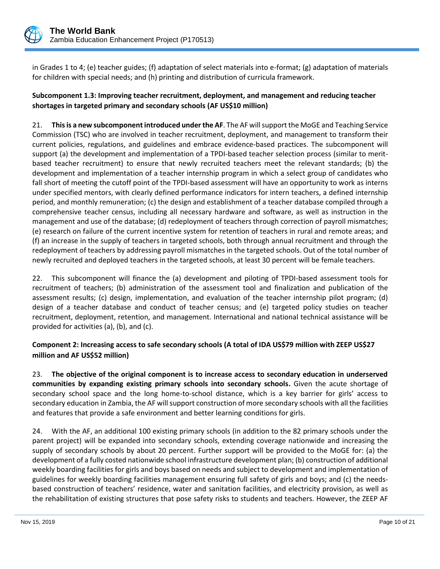

in Grades 1 to 4; (e) teacher guides; (f) adaptation of select materials into e-format; (g) adaptation of materials for children with special needs; and (h) printing and distribution of curricula framework.

# **Subcomponent 1.3: Improving teacher recruitment, deployment, and management and reducing teacher shortages in targeted primary and secondary schools (AF US\$10 million)**

21. **This is a new subcomponent introduced under the AF**. The AF will support the MoGE and Teaching Service Commission (TSC) who are involved in teacher recruitment, deployment, and management to transform their current policies, regulations, and guidelines and embrace evidence-based practices. The subcomponent will support (a) the development and implementation of a TPDI-based teacher selection process (similar to meritbased teacher recruitment) to ensure that newly recruited teachers meet the relevant standards; (b) the development and implementation of a teacher internship program in which a select group of candidates who fall short of meeting the cutoff point of the TPDI-based assessment will have an opportunity to work as interns under specified mentors, with clearly defined performance indicators for intern teachers, a defined internship period, and monthly remuneration; (c) the design and establishment of a teacher database compiled through a comprehensive teacher census, including all necessary hardware and software, as well as instruction in the management and use of the database; (d) redeployment of teachers through correction of payroll mismatches; (e) research on failure of the current incentive system for retention of teachers in rural and remote areas; and (f) an increase in the supply of teachers in targeted schools, both through annual recruitment and through the redeployment of teachers by addressing payroll mismatches in the targeted schools. Out of the total number of newly recruited and deployed teachers in the targeted schools, at least 30 percent will be female teachers.

22. This subcomponent will finance the (a) development and piloting of TPDI-based assessment tools for recruitment of teachers; (b) administration of the assessment tool and finalization and publication of the assessment results; (c) design, implementation, and evaluation of the teacher internship pilot program; (d) design of a teacher database and conduct of teacher census; and (e) targeted policy studies on teacher recruitment, deployment, retention, and management. International and national technical assistance will be provided for activities (a), (b), and (c).

## **Component 2: Increasing access to safe secondary schools (A total of IDA US\$79 million with ZEEP US\$27 million and AF US\$52 million)**

23. **The objective of the original component is to increase access to secondary education in underserved communities by expanding existing primary schools into secondary schools.** Given the acute shortage of secondary school space and the long home-to-school distance, which is a key barrier for girls' access to secondary education in Zambia, the AF will support construction of more secondary schools with all the facilities and features that provide a safe environment and better learning conditions for girls.

24. With the AF, an additional 100 existing primary schools (in addition to the 82 primary schools under the parent project) will be expanded into secondary schools, extending coverage nationwide and increasing the supply of secondary schools by about 20 percent. Further support will be provided to the MoGE for: (a) the development of a fully costed nationwide school infrastructure development plan; (b) construction of additional weekly boarding facilities for girls and boys based on needs and subject to development and implementation of guidelines for weekly boarding facilities management ensuring full safety of girls and boys; and (c) the needsbased construction of teachers' residence, water and sanitation facilities, and electricity provision, as well as the rehabilitation of existing structures that pose safety risks to students and teachers. However, the ZEEP AF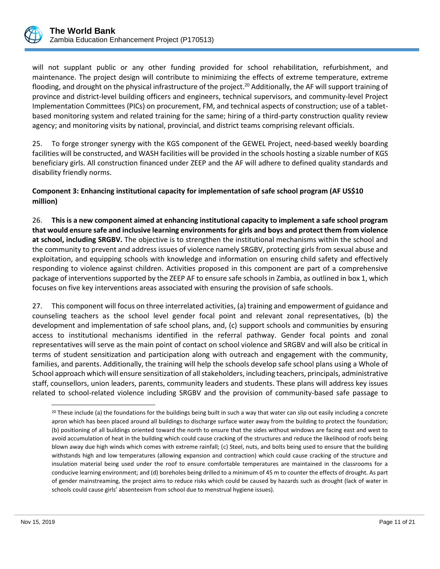

will not supplant public or any other funding provided for school rehabilitation, refurbishment, and maintenance. The project design will contribute to minimizing the effects of extreme temperature, extreme flooding, and drought on the physical infrastructure of the project.<sup>20</sup> Additionally, the AF will support training of province and district-level building officers and engineers, technical supervisors, and community-level Project Implementation Committees (PICs) on procurement, FM, and technical aspects of construction; use of a tabletbased monitoring system and related training for the same; hiring of a third-party construction quality review agency; and monitoring visits by national, provincial, and district teams comprising relevant officials.

25. To forge stronger synergy with the KGS component of the GEWEL Project, need-based weekly boarding facilities will be constructed, and WASH facilities will be provided in the schools hosting a sizable number of KGS beneficiary girls. All construction financed under ZEEP and the AF will adhere to defined quality standards and disability friendly norms.

**Component 3: Enhancing institutional capacity for implementation of safe school program (AF US\$10 million)**

26. **This is a new component aimed at enhancing institutional capacity to implement a safe school program that would ensure safe and inclusive learning environments for girls and boys and protect them from violence at school, including SRGBV.** The objective is to strengthen the institutional mechanisms within the school and the community to prevent and address issues of violence namely SRGBV, protecting girls from sexual abuse and exploitation, and equipping schools with knowledge and information on ensuring child safety and effectively responding to violence against children. Activities proposed in this component are part of a comprehensive package of interventions supported by the ZEEP AF to ensure safe schools in Zambia, as outlined in box 1, which focuses on five key interventions areas associated with ensuring the provision of safe schools.

27. This component will focus on three interrelated activities, (a) training and empowerment of guidance and counseling teachers as the school level gender focal point and relevant zonal representatives, (b) the development and implementation of safe school plans, and, (c) support schools and communities by ensuring access to institutional mechanisms identified in the referral pathway. Gender focal points and zonal representatives will serve as the main point of contact on school violence and SRGBV and will also be critical in terms of student sensitization and participation along with outreach and engagement with the community, families, and parents. Additionally, the training will help the schools develop safe school plans using a Whole of School approach which will ensure sensitization of all stakeholders, including teachers, principals, administrative staff, counsellors, union leaders, parents, community leaders and students. These plans will address key issues related to school-related violence including SRGBV and the provision of community-based safe passage to

 $\overline{\phantom{a}}$ 

<sup>&</sup>lt;sup>20</sup> These include (a) the foundations for the buildings being built in such a way that water can slip out easily including a concrete apron which has been placed around all buildings to discharge surface water away from the building to protect the foundation; (b) positioning of all buildings oriented toward the north to ensure that the sides without windows are facing east and west to avoid accumulation of heat in the building which could cause cracking of the structures and reduce the likelihood of roofs being blown away due high winds which comes with extreme rainfall; (c) Steel, nuts, and bolts being used to ensure that the building withstands high and low temperatures (allowing expansion and contraction) which could cause cracking of the structure and insulation material being used under the roof to ensure comfortable temperatures are maintained in the classrooms for a conducive learning environment; and (d) boreholes being drilled to a minimum of 45 m to counter the effects of drought. As part of gender mainstreaming, the project aims to reduce risks which could be caused by hazards such as drought (lack of water in schools could cause girls' absenteeism from school due to menstrual hygiene issues).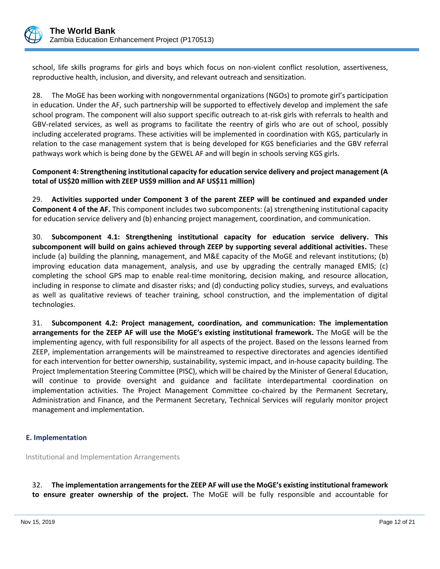

school, life skills programs for girls and boys which focus on non-violent conflict resolution, assertiveness, reproductive health, inclusion, and diversity, and relevant outreach and sensitization.

28. The MoGE has been working with nongovernmental organizations (NGOs) to promote girl's participation in education. Under the AF, such partnership will be supported to effectively develop and implement the safe school program. The component will also support specific outreach to at-risk girls with referrals to health and GBV-related services, as well as programs to facilitate the reentry of girls who are out of school, possibly including accelerated programs. These activities will be implemented in coordination with KGS, particularly in relation to the case management system that is being developed for KGS beneficiaries and the GBV referral pathways work which is being done by the GEWEL AF and will begin in schools serving KGS girls.

## **Component 4: Strengthening institutional capacity for education service delivery and project management (A total of US\$20 million with ZEEP US\$9 million and AF US\$11 million)**

29. **Activities supported under Component 3 of the parent ZEEP will be continued and expanded under Component 4 of the AF.** This component includes two subcomponents: (a) strengthening institutional capacity for education service delivery and (b) enhancing project management, coordination, and communication.

30. **Subcomponent 4.1: Strengthening institutional capacity for education service delivery. This subcomponent will build on gains achieved through ZEEP by supporting several additional activities.** These include (a) building the planning, management, and M&E capacity of the MoGE and relevant institutions; (b) improving education data management, analysis, and use by upgrading the centrally managed EMIS; (c) completing the school GPS map to enable real-time monitoring, decision making, and resource allocation, including in response to climate and disaster risks; and (d) conducting policy studies, surveys, and evaluations as well as qualitative reviews of teacher training, school construction, and the implementation of digital technologies.

31. **Subcomponent 4.2: Project management, coordination, and communication: The implementation arrangements for the ZEEP AF will use the MoGE's existing institutional framework.** The MoGE will be the implementing agency, with full responsibility for all aspects of the project. Based on the lessons learned from ZEEP, implementation arrangements will be mainstreamed to respective directorates and agencies identified for each intervention for better ownership, sustainability, systemic impact, and in-house capacity building. The Project Implementation Steering Committee (PISC), which will be chaired by the Minister of General Education, will continue to provide oversight and guidance and facilitate interdepartmental coordination on implementation activities. The Project Management Committee co-chaired by the Permanent Secretary, Administration and Finance, and the Permanent Secretary, Technical Services will regularly monitor project management and implementation.

#### **E. Implementation**

Institutional and Implementation Arrangements

32. **The implementation arrangements for the ZEEP AF will use the MoGE's existing institutional framework to ensure greater ownership of the project.** The MoGE will be fully responsible and accountable for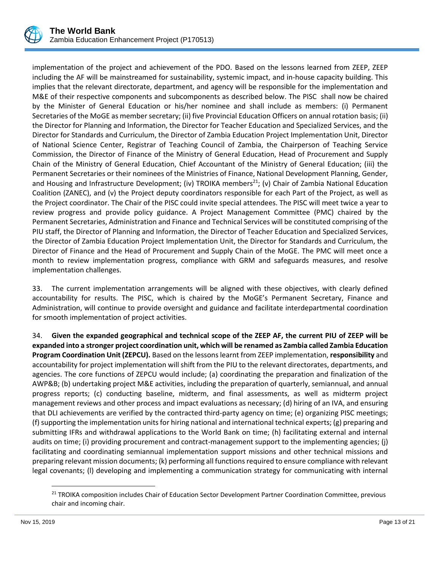

implementation of the project and achievement of the PDO. Based on the lessons learned from ZEEP, ZEEP including the AF will be mainstreamed for sustainability, systemic impact, and in-house capacity building. This implies that the relevant directorate, department, and agency will be responsible for the implementation and M&E of their respective components and subcomponents as described below. The PISC shall now be chaired by the Minister of General Education or his/her nominee and shall include as members: (i) Permanent Secretaries of the MoGE as member secretary; (ii) five Provincial Education Officers on annual rotation basis; (ii) the Director for Planning and Information, the Director for Teacher Education and Specialized Services, and the Director for Standards and Curriculum, the Director of Zambia Education Project Implementation Unit, Director of National Science Center, Registrar of Teaching Council of Zambia, the Chairperson of Teaching Service Commission, the Director of Finance of the Ministry of General Education, Head of Procurement and Supply Chain of the Ministry of General Education, Chief Accountant of the Ministry of General Education; (iii) the Permanent Secretaries or their nominees of the Ministries of Finance, National Development Planning, Gender, and Housing and Infrastructure Development; (iv) TROIKA members<sup>21</sup>; (v) Chair of Zambia National Education Coalition (ZANEC), and (v) the Project deputy coordinators responsible for each Part of the Project, as well as the Project coordinator. The Chair of the PISC could invite special attendees. The PISC will meet twice a year to review progress and provide policy guidance. A Project Management Committee (PMC) chaired by the Permanent Secretaries, Administration and Finance and Technical Services will be constituted comprising of the PIU staff, the Director of Planning and Information, the Director of Teacher Education and Specialized Services, the Director of Zambia Education Project Implementation Unit, the Director for Standards and Curriculum, the Director of Finance and the Head of Procurement and Supply Chain of the MoGE. The PMC will meet once a month to review implementation progress, compliance with GRM and safeguards measures, and resolve implementation challenges.

33. The current implementation arrangements will be aligned with these objectives, with clearly defined accountability for results. The PISC, which is chaired by the MoGE's Permanent Secretary, Finance and Administration, will continue to provide oversight and guidance and facilitate interdepartmental coordination for smooth implementation of project activities.

34. **Given the expanded geographical and technical scope of the ZEEP AF, the current PIU of ZEEP will be expanded into a stronger project coordination unit, which will be renamed as Zambia called Zambia Education Program Coordination Unit (ZEPCU).** Based on the lessons learnt from ZEEP implementation, **responsibility** and accountability for project implementation will shift from the PIU to the relevant directorates, departments, and agencies. The core functions of ZEPCU would include; (a) coordinating the preparation and finalization of the AWP&B; (b) undertaking project M&E activities, including the preparation of quarterly, semiannual, and annual progress reports; (c) conducting baseline, midterm, and final assessments, as well as midterm project management reviews and other process and impact evaluations as necessary; (d) hiring of an IVA, and ensuring that DLI achievements are verified by the contracted third-party agency on time; (e) organizing PISC meetings; (f) supporting the implementation units for hiring national and international technical experts; (g) preparing and submitting IFRs and withdrawal applications to the World Bank on time; (h) facilitating external and internal audits on time; (i) providing procurement and contract-management support to the implementing agencies; (j) facilitating and coordinating semiannual implementation support missions and other technical missions and preparing relevant mission documents; (k) performing all functions required to ensure compliance with relevant legal covenants; (l) developing and implementing a communication strategy for communicating with internal

 $\overline{\phantom{a}}$ 

<sup>&</sup>lt;sup>21</sup> TROIKA composition includes Chair of Education Sector Development Partner Coordination Committee, previous chair and incoming chair.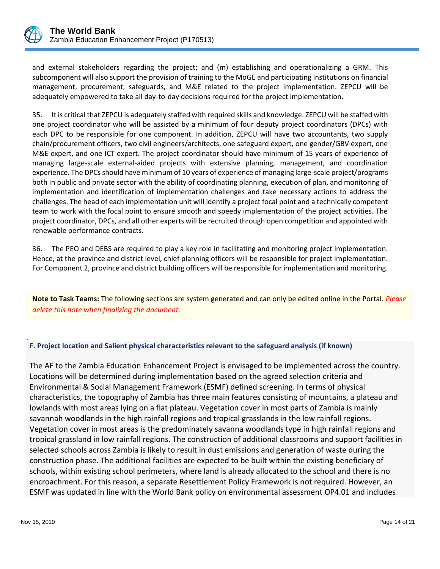

and external stakeholders regarding the project; and (m) establishing and operationalizing a GRM. This subcomponent will also support the provision of training to the MoGE and participating institutions on financial management, procurement, safeguards, and M&E related to the project implementation. ZEPCU will be adequately empowered to take all day-to-day decisions required for the project implementation.

35. It is critical that ZEPCU is adequately staffed with required skills and knowledge. ZEPCU will be staffed with one project coordinator who will be assisted by a minimum of four deputy project coordinators (DPCs) with each DPC to be responsible for one component. In addition, ZEPCU will have two accountants, two supply chain/procurement officers, two civil engineers/architects, one safeguard expert, one gender/GBV expert, one M&E expert, and one ICT expert. The project coordinator should have minimum of 15 years of experience of managing large-scale external-aided projects with extensive planning, management, and coordination experience. The DPCs should have minimum of 10 years of experience of managing large-scale project/programs both in public and private sector with the ability of coordinating planning, execution of plan, and monitoring of implementation and identification of implementation challenges and take necessary actions to address the challenges. The head of each implementation unit will identify a project focal point and a technically competent team to work with the focal point to ensure smooth and speedy implementation of the project activities. The project coordinator, DPCs, and all other experts will be recruited through open competition and appointed with renewable performance contracts.

36. The PEO and DEBS are required to play a key role in facilitating and monitoring project implementation. Hence, at the province and district level, chief planning officers will be responsible for project implementation. For Component 2, province and district building officers will be responsible for implementation and monitoring.

**Note to Task Teams:** The following sections are system generated and can only be edited online in the Portal. *Please delete this note when finalizing the document.*

## **F. Project location and Salient physical characteristics relevant to the safeguard analysis (if known)**

The AF to the Zambia Education Enhancement Project is envisaged to be implemented across the country. Locations will be determined during implementation based on the agreed selection criteria and Environmental & Social Management Framework (ESMF) defined screening. In terms of physical characteristics, the topography of Zambia has three main features consisting of mountains, a plateau and lowlands with most areas lying on a flat plateau. Vegetation cover in most parts of Zambia is mainly savannah woodlands in the high rainfall regions and tropical grasslands in the low rainfall regions. Vegetation cover in most areas is the predominately savanna woodlands type in high rainfall regions and tropical grassland in low rainfall regions. The construction of additional classrooms and support facilities in selected schools across Zambia is likely to result in dust emissions and generation of waste during the construction phase. The additional facilities are expected to be built within the existing beneficiary of schools, within existing school perimeters, where land is already allocated to the school and there is no encroachment. For this reason, a separate Resettlement Policy Framework is not required. However, an ESMF was updated in line with the World Bank policy on environmental assessment OP4.01 and includes

.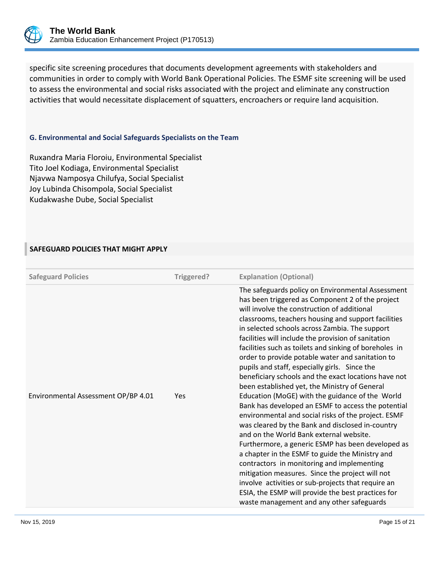

specific site screening procedures that documents development agreements with stakeholders and communities in order to comply with World Bank Operational Policies. The ESMF site screening will be used to assess the environmental and social risks associated with the project and eliminate any construction activities that would necessitate displacement of squatters, encroachers or require land acquisition.

#### **G. Environmental and Social Safeguards Specialists on the Team**

Ruxandra Maria Floroiu, Environmental Specialist Tito Joel Kodiaga, Environmental Specialist Njavwa Namposya Chilufya, Social Specialist Joy Lubinda Chisompola, Social Specialist Kudakwashe Dube, Social Specialist

#### **SAFEGUARD POLICIES THAT MIGHT APPLY**

| <b>Safeguard Policies</b>           | Triggered? | <b>Explanation (Optional)</b>                                                                                                                                                                                                                                                                                                                                                                                                                                                                                                                                                                                                                                                                                                                                                                                                                                                                                                                                                                                                                                                                                                                                                                                                 |
|-------------------------------------|------------|-------------------------------------------------------------------------------------------------------------------------------------------------------------------------------------------------------------------------------------------------------------------------------------------------------------------------------------------------------------------------------------------------------------------------------------------------------------------------------------------------------------------------------------------------------------------------------------------------------------------------------------------------------------------------------------------------------------------------------------------------------------------------------------------------------------------------------------------------------------------------------------------------------------------------------------------------------------------------------------------------------------------------------------------------------------------------------------------------------------------------------------------------------------------------------------------------------------------------------|
| Environmental Assessment OP/BP 4.01 | Yes        | The safeguards policy on Environmental Assessment<br>has been triggered as Component 2 of the project<br>will involve the construction of additional<br>classrooms, teachers housing and support facilities<br>in selected schools across Zambia. The support<br>facilities will include the provision of sanitation<br>facilities such as toilets and sinking of boreholes in<br>order to provide potable water and sanitation to<br>pupils and staff, especially girls. Since the<br>beneficiary schools and the exact locations have not<br>been established yet, the Ministry of General<br>Education (MoGE) with the guidance of the World<br>Bank has developed an ESMF to access the potential<br>environmental and social risks of the project. ESMF<br>was cleared by the Bank and disclosed in-country<br>and on the World Bank external website.<br>Furthermore, a generic ESMP has been developed as<br>a chapter in the ESMF to guide the Ministry and<br>contractors in monitoring and implementing<br>mitigation measures. Since the project will not<br>involve activities or sub-projects that require an<br>ESIA, the ESMP will provide the best practices for<br>waste management and any other safeguards |
|                                     |            |                                                                                                                                                                                                                                                                                                                                                                                                                                                                                                                                                                                                                                                                                                                                                                                                                                                                                                                                                                                                                                                                                                                                                                                                                               |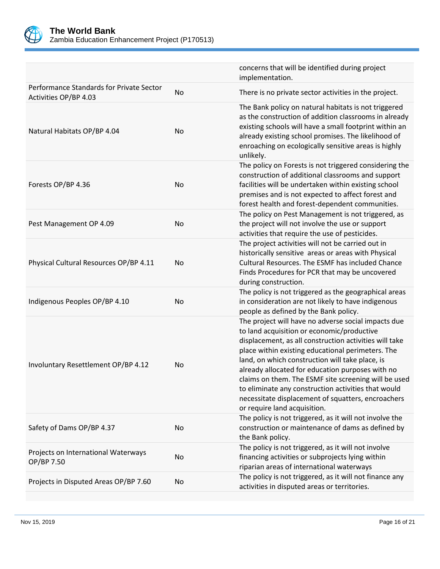

|                                                                   |           | concerns that will be identified during project<br>implementation.                                                                                                                                                                                                                                                                                                                                                                                                                                                           |
|-------------------------------------------------------------------|-----------|------------------------------------------------------------------------------------------------------------------------------------------------------------------------------------------------------------------------------------------------------------------------------------------------------------------------------------------------------------------------------------------------------------------------------------------------------------------------------------------------------------------------------|
| Performance Standards for Private Sector<br>Activities OP/BP 4.03 | <b>No</b> | There is no private sector activities in the project.                                                                                                                                                                                                                                                                                                                                                                                                                                                                        |
| Natural Habitats OP/BP 4.04                                       | No        | The Bank policy on natural habitats is not triggered<br>as the construction of addition classrooms in already<br>existing schools will have a small footprint within an<br>already existing school promises. The likelihood of<br>enroaching on ecologically sensitive areas is highly<br>unlikely.                                                                                                                                                                                                                          |
| Forests OP/BP 4.36                                                | No        | The policy on Forests is not triggered considering the<br>construction of additional classrooms and support<br>facilities will be undertaken within existing school<br>premises and is not expected to affect forest and<br>forest health and forest-dependent communities.                                                                                                                                                                                                                                                  |
| Pest Management OP 4.09                                           | No        | The policy on Pest Management is not triggered, as<br>the project will not involve the use or support<br>activities that require the use of pesticides.                                                                                                                                                                                                                                                                                                                                                                      |
| Physical Cultural Resources OP/BP 4.11                            | No        | The project activities will not be carried out in<br>historically sensitive areas or areas with Physical<br>Cultural Resources. The ESMF has included Chance<br>Finds Procedures for PCR that may be uncovered<br>during construction.                                                                                                                                                                                                                                                                                       |
| Indigenous Peoples OP/BP 4.10                                     | No        | The policy is not triggered as the geographical areas<br>in consideration are not likely to have indigenous<br>people as defined by the Bank policy.                                                                                                                                                                                                                                                                                                                                                                         |
| Involuntary Resettlement OP/BP 4.12                               | No        | The project will have no adverse social impacts due<br>to land acquisition or economic/productive<br>displacement, as all construction activities will take<br>place within existing educational perimeters. The<br>land, on which construction will take place, is<br>already allocated for education purposes with no<br>claims on them. The ESMF site screening will be used<br>to eliminate any construction activities that would<br>necessitate displacement of squatters, encroachers<br>or require land acquisition. |
| Safety of Dams OP/BP 4.37                                         | No        | The policy is not triggered, as it will not involve the<br>construction or maintenance of dams as defined by<br>the Bank policy.                                                                                                                                                                                                                                                                                                                                                                                             |
| Projects on International Waterways<br>OP/BP 7.50                 | No        | The policy is not triggered, as it will not involve<br>financing activities or subprojects lying within<br>riparian areas of international waterways                                                                                                                                                                                                                                                                                                                                                                         |
| Projects in Disputed Areas OP/BP 7.60                             | No        | The policy is not triggered, as it will not finance any<br>activities in disputed areas or territories.                                                                                                                                                                                                                                                                                                                                                                                                                      |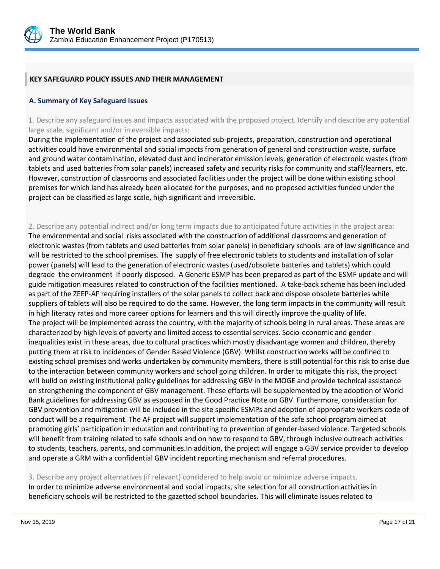

## **KEY SAFEGUARD POLICY ISSUES AND THEIR MANAGEMENT**

#### **A. Summary of Key Safeguard Issues**

1. Describe any safeguard issues and impacts associated with the proposed project. Identify and describe any potential large scale, significant and/or irreversible impacts:

During the implementation of the project and associated sub-projects, preparation, construction and operational activities could have environmental and social impacts from generation of general and construction waste, surface and ground water contamination, elevated dust and incinerator emission levels, generation of electronic wastes (from tablets and used batteries from solar panels) increased safety and security risks for community and staff/learners, etc. However, construction of classrooms and associated facilities under the project will be done within existing school premises for which land has already been allocated for the purposes, and no proposed activities funded under the project can be classified as large scale, high significant and irreversible.

# 2. Describe any potential indirect and/or long term impacts due to anticipated future activities in the project area:

The environmental and social risks associated with the construction of additional classrooms and generation of electronic wastes (from tablets and used batteries from solar panels) in beneficiary schools are of low significance and will be restricted to the school premises. The supply of free electronic tablets to students and installation of solar power (panels) will lead to the generation of electronic wastes (used/obsolete batteries and tablets) which could degrade the environment if poorly disposed. A Generic ESMP has been prepared as part of the ESMF update and will guide mitigation measures related to construction of the facilities mentioned. A take-back scheme has been included as part of the ZEEP-AF requiring installers of the solar panels to collect back and dispose obsolete batteries while suppliers of tablets will also be required to do the same. However, the long term impacts in the community will result in high literacy rates and more career options for learners and this will directly improve the quality of life. The project will be implemented across the country, with the majority of schools being in rural areas. These areas are characterized by high levels of poverty and limited access to essential services. Socio-economic and gender inequalities exist in these areas, due to cultural practices which mostly disadvantage women and children, thereby putting them at risk to incidences of Gender Based Violence (GBV). Whilst construction works will be confined to existing school premises and works undertaken by community members, there is still potential for this risk to arise due to the interaction between community workers and school going children. In order to mitigate this risk, the project will build on existing institutional policy guidelines for addressing GBV in the MOGE and provide technical assistance on strengthening the component of GBV management. These efforts will be supplemented by the adoption of World Bank guidelines for addressing GBV as espoused in the Good Practice Note on GBV. Furthermore, consideration for GBV prevention and mitigation will be included in the site specific ESMPs and adoption of appropriate workers code of conduct will be a requirement. The AF project will support implementation of the safe school program aimed at promoting girls' participation in education and contributing to prevention of gender-based violence. Targeted schools will benefit from training related to safe schools and on how to respond to GBV, through inclusive outreach activities to students, teachers, parents, and communities.In addition, the project will engage a GBV service provider to develop and operate a GRM with a confidential GBV incident reporting mechanism and referral procedures.

## 3. Describe any project alternatives (if relevant) considered to help avoid or minimize adverse impacts. In order to minimize adverse environmental and social impacts, site selection for all construction activities in

beneficiary schools will be restricted to the gazetted school boundaries. This will eliminate issues related to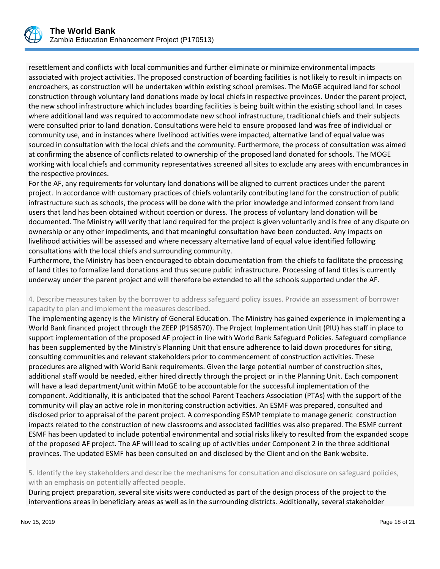resettlement and conflicts with local communities and further eliminate or minimize environmental impacts associated with project activities. The proposed construction of boarding facilities is not likely to result in impacts on encroachers, as construction will be undertaken within existing school premises. The MoGE acquired land for school construction through voluntary land donations made by local chiefs in respective provinces. Under the parent project, the new school infrastructure which includes boarding facilities is being built within the existing school land. In cases where additional land was required to accommodate new school infrastructure, traditional chiefs and their subjects were consulted prior to land donation. Consultations were held to ensure proposed land was free of individual or community use, and in instances where livelihood activities were impacted, alternative land of equal value was sourced in consultation with the local chiefs and the community. Furthermore, the process of consultation was aimed at confirming the absence of conflicts related to ownership of the proposed land donated for schools. The MOGE working with local chiefs and community representatives screened all sites to exclude any areas with encumbrances in the respective provinces.

For the AF, any requirements for voluntary land donations will be aligned to current practices under the parent project. In accordance with customary practices of chiefs voluntarily contributing land for the construction of public infrastructure such as schools, the process will be done with the prior knowledge and informed consent from land users that land has been obtained without coercion or duress. The process of voluntary land donation will be documented. The Ministry will verify that land required for the project is given voluntarily and is free of any dispute on ownership or any other impediments, and that meaningful consultation have been conducted. Any impacts on livelihood activities will be assessed and where necessary alternative land of equal value identified following consultations with the local chiefs and surrounding community.

Furthermore, the Ministry has been encouraged to obtain documentation from the chiefs to facilitate the processing of land titles to formalize land donations and thus secure public infrastructure. Processing of land titles is currently underway under the parent project and will therefore be extended to all the schools supported under the AF.

#### 4. Describe measures taken by the borrower to address safeguard policy issues. Provide an assessment of borrower capacity to plan and implement the measures described.

The implementing agency is the Ministry of General Education. The Ministry has gained experience in implementing a World Bank financed project through the ZEEP (P158570). The Project Implementation Unit (PIU) has staff in place to support implementation of the proposed AF project in line with World Bank Safeguard Policies. Safeguard compliance has been supplemented by the Ministry's Planning Unit that ensure adherence to laid down procedures for siting, consulting communities and relevant stakeholders prior to commencement of construction activities. These procedures are aligned with World Bank requirements. Given the large potential number of construction sites, additional staff would be needed, either hired directly through the project or in the Planning Unit. Each component will have a lead department/unit within MoGE to be accountable for the successful implementation of the component. Additionally, it is anticipated that the school Parent Teachers Association (PTAs) with the support of the community will play an active role in monitoring construction activities. An ESMF was prepared, consulted and disclosed prior to appraisal of the parent project. A corresponding ESMP template to manage generic construction impacts related to the construction of new classrooms and associated facilities was also prepared. The ESMF current ESMF has been updated to include potential environmental and social risks likely to resulted from the expanded scope of the proposed AF project. The AF will lead to scaling up of activities under Component 2 in the three additional provinces. The updated ESMF has been consulted on and disclosed by the Client and on the Bank website.

5. Identify the key stakeholders and describe the mechanisms for consultation and disclosure on safeguard policies, with an emphasis on potentially affected people.

During project preparation, several site visits were conducted as part of the design process of the project to the interventions areas in beneficiary areas as well as in the surrounding districts. Additionally, several stakeholder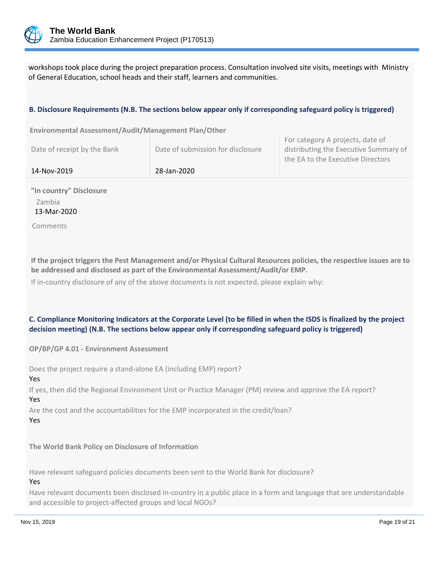

workshops took place during the project preparation process. Consultation involved site visits, meetings with Ministry of General Education, school heads and their staff, learners and communities.

#### **B. Disclosure Requirements (N.B. The sections below appear only if corresponding safeguard policy is triggered)**

**Environmental Assessment/Audit/Management Plan/Other** 

| 14-Nov-2019                 | 28-Jan-2020                       |                                                                                                                 |
|-----------------------------|-----------------------------------|-----------------------------------------------------------------------------------------------------------------|
| Date of receipt by the Bank | Date of submission for disclosure | FUI CALERUI Y A DIUJECTS, UALE UI<br>distributing the Executive Summary of<br>the EA to the Executive Directors |

For category A projects, date of

**"In country" Disclosure** Zambia 13-Mar-2020

Comments

**If the project triggers the Pest Management and/or Physical Cultural Resources policies, the respective issues are to be addressed and disclosed as part of the Environmental Assessment/Audit/or EMP.**

If in-country disclosure of any of the above documents is not expected, please explain why:

#### **C. Compliance Monitoring Indicators at the Corporate Level (to be filled in when the ISDS is finalized by the project decision meeting) (N.B. The sections below appear only if corresponding safeguard policy is triggered)**

**OP/BP/GP 4.01 - Environment Assessment** 

Does the project require a stand-alone EA (including EMP) report?

Yes

If yes, then did the Regional Environment Unit or Practice Manager (PM) review and approve the EA report? Yes

Are the cost and the accountabilities for the EMP incorporated in the credit/loan?

Yes

**The World Bank Policy on Disclosure of Information**

Have relevant safeguard policies documents been sent to the World Bank for disclosure?

Yes

Have relevant documents been disclosed in-country in a public place in a form and language that are understandable and accessible to project-affected groups and local NGOs?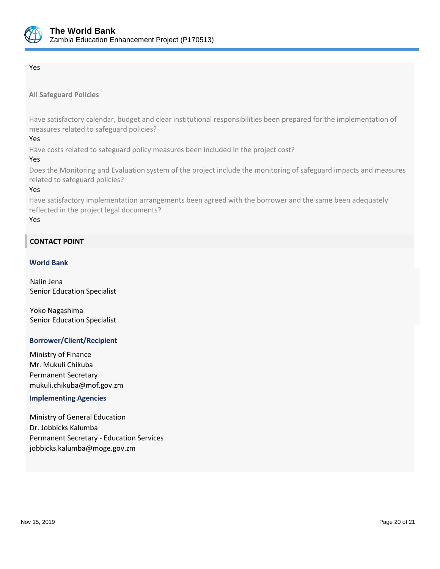

#### Yes

## **All Safeguard Policies**

Have satisfactory calendar, budget and clear institutional responsibilities been prepared for the implementation of measures related to safeguard policies?

#### Yes

Have costs related to safeguard policy measures been included in the project cost?

#### Yes

Does the Monitoring and Evaluation system of the project include the monitoring of safeguard impacts and measures related to safeguard policies?

#### Yes

Have satisfactory implementation arrangements been agreed with the borrower and the same been adequately reflected in the project legal documents?

#### Yes

## **CONTACT POINT**

#### **World Bank**

Nalin Jena Senior Education Specialist

Yoko Nagashima Senior Education Specialist

#### **Borrower/Client/Recipient**

Ministry of Finance Mr. Mukuli Chikuba Permanent Secretary mukuli.chikuba@mof.gov.zm

#### **Implementing Agencies**

Ministry of General Education Dr. Jobbicks Kalumba Permanent Secretary - Education Services jobbicks.kalumba@moge.gov.zm